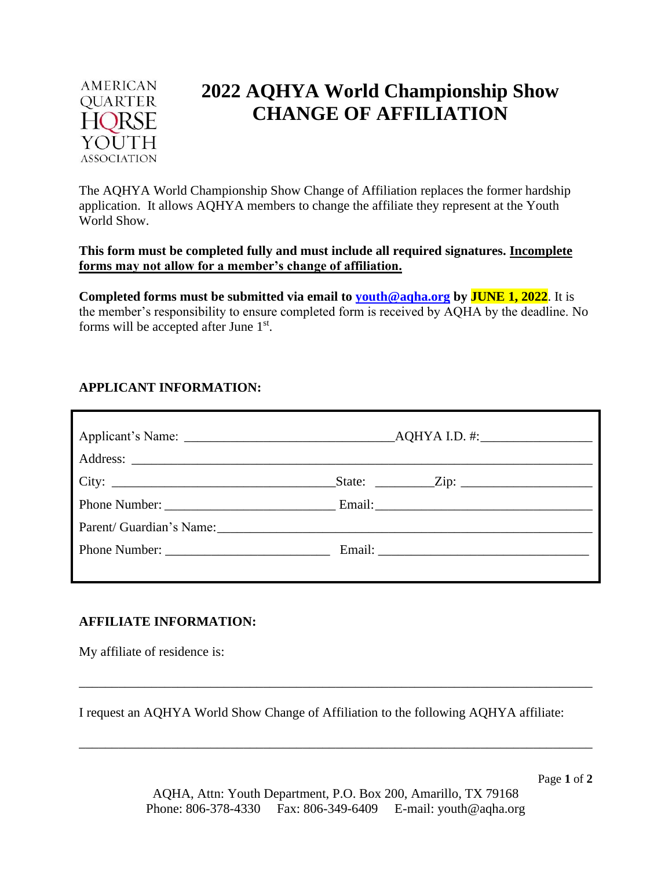

# **2022 AQHYA World Championship Show CHANGE OF AFFILIATION**

The AQHYA World Championship Show Change of Affiliation replaces the former hardship application. It allows AQHYA members to change the affiliate they represent at the Youth World Show.

**This form must be completed fully and must include all required signatures. Incomplete forms may not allow for a member's change of affiliation.**

**Completed forms must be submitted via email to [youth@aqha.org](mailto:youth@aqha.org) by JUNE 1, 2022**. It is the member's responsibility to ensure completed form is received by AQHA by the deadline. No forms will be accepted after June  $1<sup>st</sup>$ .

## **APPLICANT INFORMATION:**

| City: $\qquad \qquad \qquad$ City: | $\text{State:}$ $\text{Zip:}$ |
|------------------------------------|-------------------------------|
|                                    |                               |
|                                    |                               |
|                                    |                               |
|                                    |                               |

## **AFFILIATE INFORMATION:**

My affiliate of residence is:

I request an AQHYA World Show Change of Affiliation to the following AQHYA affiliate:

\_\_\_\_\_\_\_\_\_\_\_\_\_\_\_\_\_\_\_\_\_\_\_\_\_\_\_\_\_\_\_\_\_\_\_\_\_\_\_\_\_\_\_\_\_\_\_\_\_\_\_\_\_\_\_\_\_\_\_\_\_\_\_\_\_\_\_\_\_\_\_\_\_\_\_\_\_\_

\_\_\_\_\_\_\_\_\_\_\_\_\_\_\_\_\_\_\_\_\_\_\_\_\_\_\_\_\_\_\_\_\_\_\_\_\_\_\_\_\_\_\_\_\_\_\_\_\_\_\_\_\_\_\_\_\_\_\_\_\_\_\_\_\_\_\_\_\_\_\_\_\_\_\_\_\_\_